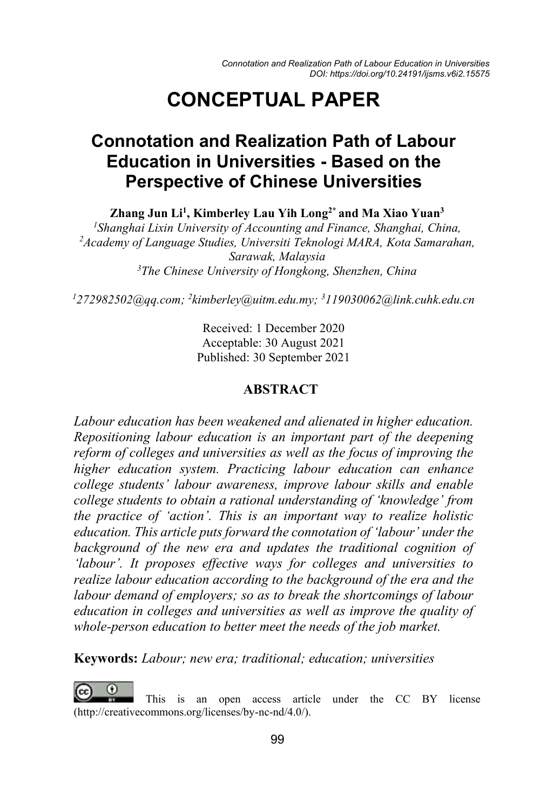# **CONCEPTUAL PAPER**

## **Connotation and Realization Path of Labour Education in Universities - Based on the Perspective of Chinese Universities**

**Zhang Jun Li1 , Kimberley Lau Yih Long2\* and Ma Xiao Yuan3**

 *Shanghai Lixin University of Accounting and Finance, Shanghai, China, Academy of Language Studies, Universiti Teknologi MARA, Kota Samarahan, Sarawak, Malaysia The Chinese University of Hongkong, Shenzhen, China*

*1 272982502@qq.com; 2 kimberley@uitm.edu.my; 3 119030062@link.cuhk.edu.cn*

Received: 1 December 2020 Acceptable: 30 August 2021 Published: 30 September 2021

#### **ABSTRACT**

*Labour education has been weakened and alienated in higher education. Repositioning labour education is an important part of the deepening reform of colleges and universities as well as the focus of improving the higher education system. Practicing labour education can enhance college students' labour awareness, improve labour skills and enable college students to obtain a rational understanding of 'knowledge' from the practice of 'action'. This is an important way to realize holistic education. This article puts forward the connotation of 'labour' under the*  background of the new era and updates the traditional cognition of *'labour'. It proposes effective ways for colleges and universities to realize labour education according to the background of the era and the labour demand of employers; so as to break the shortcomings of labour education in colleges and universities as well as improve the quality of whole-person education to better meet the needs of the job market.*

**Keywords:** *Labour; new era; traditional; education; universities*

This is an open access article under the CC BY license (http://creativecommons.org/licenses/by-nc-nd/4.0/).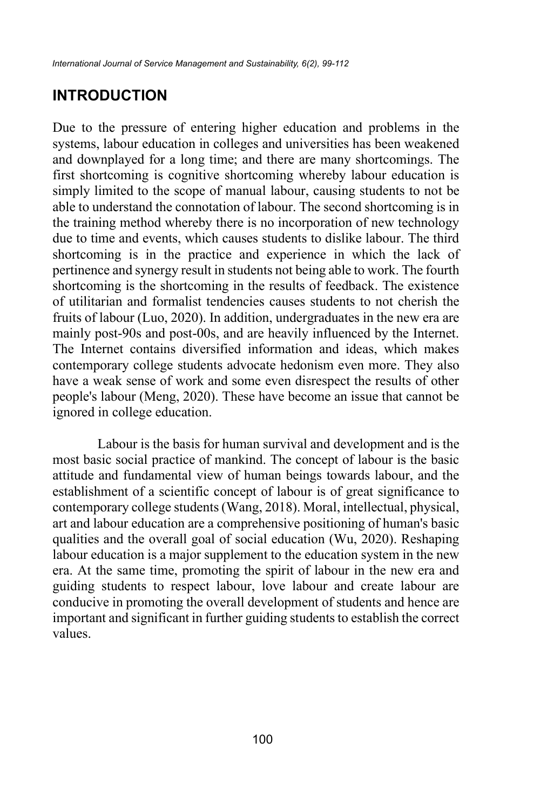#### **INTRODUCTION**

Due to the pressure of entering higher education and problems in the systems, labour education in colleges and universities has been weakened and downplayed for a long time; and there are many shortcomings. The first shortcoming is cognitive shortcoming whereby labour education is simply limited to the scope of manual labour, causing students to not be able to understand the connotation of labour. The second shortcoming is in the training method whereby there is no incorporation of new technology due to time and events, which causes students to dislike labour. The third shortcoming is in the practice and experience in which the lack of pertinence and synergy result in students not being able to work. The fourth shortcoming is the shortcoming in the results of feedback. The existence of utilitarian and formalist tendencies causes students to not cherish the fruits of labour (Luo, 2020). In addition, undergraduates in the new era are mainly post-90s and post-00s, and are heavily influenced by the Internet. The Internet contains diversified information and ideas, which makes contemporary college students advocate hedonism even more. They also have a weak sense of work and some even disrespect the results of other people's labour (Meng, 2020). These have become an issue that cannot be ignored in college education.

Labour is the basis for human survival and development and is the most basic social practice of mankind. The concept of labour is the basic attitude and fundamental view of human beings towards labour, and the establishment of a scientific concept of labour is of great significance to contemporary college students (Wang, 2018). Moral, intellectual, physical, art and labour education are a comprehensive positioning of human's basic qualities and the overall goal of social education (Wu, 2020). Reshaping labour education is a major supplement to the education system in the new era. At the same time, promoting the spirit of labour in the new era and guiding students to respect labour, love labour and create labour are conducive in promoting the overall development of students and hence are important and significant in further guiding students to establish the correct values.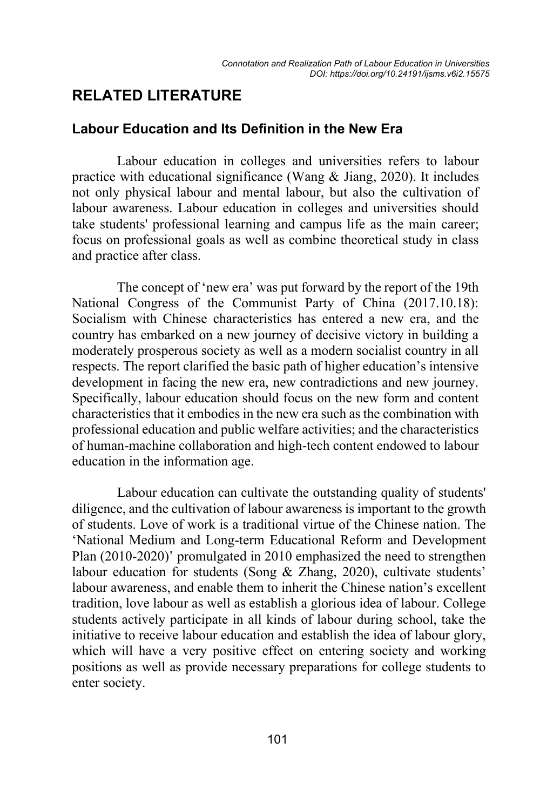### **RELATED LITERATURE**

#### **Labour Education and Its Definition in the New Era**

Labour education in colleges and universities refers to labour practice with educational significance (Wang & Jiang, 2020). It includes not only physical labour and mental labour, but also the cultivation of labour awareness. Labour education in colleges and universities should take students' professional learning and campus life as the main career; focus on professional goals as well as combine theoretical study in class and practice after class.

The concept of 'new era' was put forward by the report of the 19th National Congress of the Communist Party of China (2017.10.18): Socialism with Chinese characteristics has entered a new era, and the country has embarked on a new journey of decisive victory in building a moderately prosperous society as well as a modern socialist country in all respects. The report clarified the basic path of higher education's intensive development in facing the new era, new contradictions and new journey. Specifically, labour education should focus on the new form and content characteristics that it embodies in the new era such as the combination with professional education and public welfare activities; and the characteristics of human-machine collaboration and high-tech content endowed to labour education in the information age.

Labour education can cultivate the outstanding quality of students' diligence, and the cultivation of labour awareness is important to the growth of students. Love of work is a traditional virtue of the Chinese nation. The 'National Medium and Long-term Educational Reform and Development Plan (2010-2020)' promulgated in 2010 emphasized the need to strengthen labour education for students (Song & Zhang, 2020), cultivate students' labour awareness, and enable them to inherit the Chinese nation's excellent tradition, love labour as well as establish a glorious idea of labour. College students actively participate in all kinds of labour during school, take the initiative to receive labour education and establish the idea of labour glory, which will have a very positive effect on entering society and working positions as well as provide necessary preparations for college students to enter society.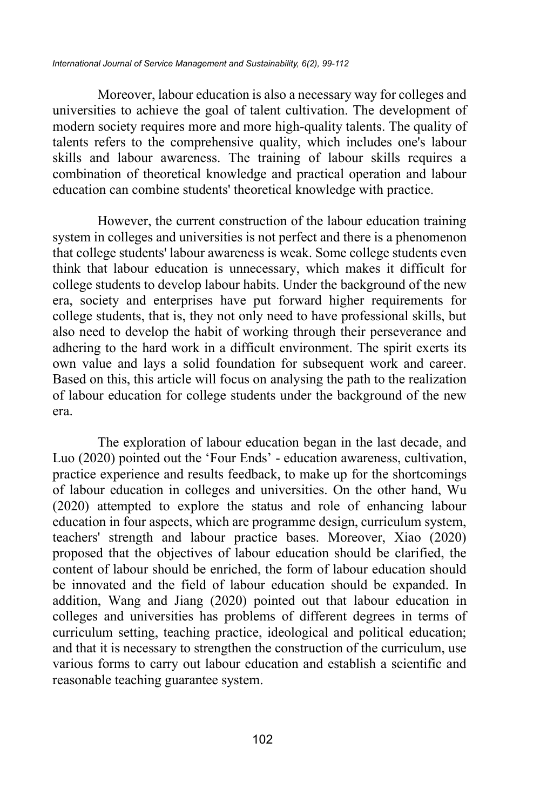Moreover, labour education is also a necessary way for colleges and universities to achieve the goal of talent cultivation. The development of modern society requires more and more high-quality talents. The quality of talents refers to the comprehensive quality, which includes one's labour skills and labour awareness. The training of labour skills requires a combination of theoretical knowledge and practical operation and labour education can combine students' theoretical knowledge with practice.

However, the current construction of the labour education training system in colleges and universities is not perfect and there is a phenomenon that college students' labour awareness is weak. Some college students even think that labour education is unnecessary, which makes it difficult for college students to develop labour habits. Under the background of the new era, society and enterprises have put forward higher requirements for college students, that is, they not only need to have professional skills, but also need to develop the habit of working through their perseverance and adhering to the hard work in a difficult environment. The spirit exerts its own value and lays a solid foundation for subsequent work and career. Based on this, this article will focus on analysing the path to the realization of labour education for college students under the background of the new era.

The exploration of labour education began in the last decade, and Luo (2020) pointed out the 'Four Ends' - education awareness, cultivation, practice experience and results feedback, to make up for the shortcomings of labour education in colleges and universities. On the other hand, Wu (2020) attempted to explore the status and role of enhancing labour education in four aspects, which are programme design, curriculum system, teachers' strength and labour practice bases. Moreover, Xiao (2020) proposed that the objectives of labour education should be clarified, the content of labour should be enriched, the form of labour education should be innovated and the field of labour education should be expanded. In addition, Wang and Jiang (2020) pointed out that labour education in colleges and universities has problems of different degrees in terms of curriculum setting, teaching practice, ideological and political education; and that it is necessary to strengthen the construction of the curriculum, use various forms to carry out labour education and establish a scientific and reasonable teaching guarantee system.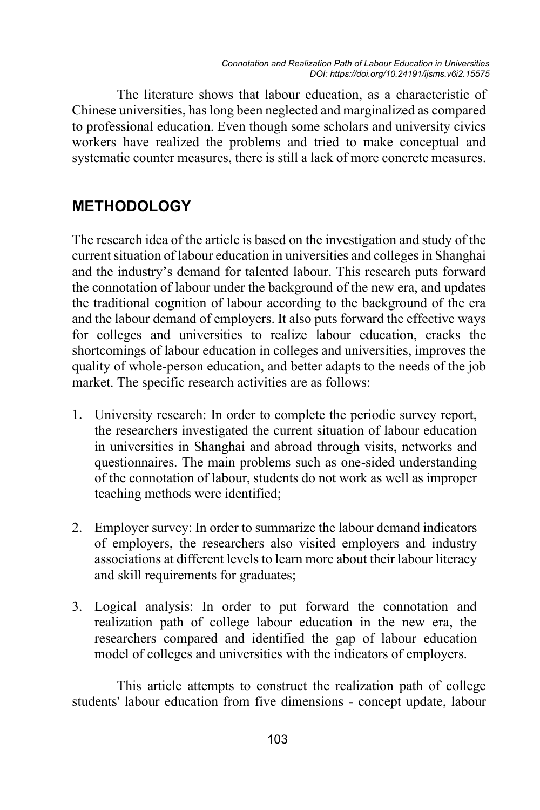The literature shows that labour education, as a characteristic of Chinese universities, has long been neglected and marginalized as compared to professional education. Even though some scholars and university civics workers have realized the problems and tried to make conceptual and systematic counter measures, there is still a lack of more concrete measures.

### **METHODOLOGY**

The research idea of the article is based on the investigation and study of the current situation of labour education in universities and colleges in Shanghai and the industry's demand for talented labour. This research puts forward the connotation of labour under the background of the new era, and updates the traditional cognition of labour according to the background of the era and the labour demand of employers. It also puts forward the effective ways for colleges and universities to realize labour education, cracks the shortcomings of labour education in colleges and universities, improves the quality of whole-person education, and better adapts to the needs of the job market. The specific research activities are as follows:

- University research: In order to complete the periodic survey report, the researchers investigated the current situation of labour education in universities in Shanghai and abroad through visits, networks and questionnaires. The main problems such as one-sided understanding of the connotation of labour, students do not work as well as improper teaching methods were identified;
- 2. Employer survey: In order to summarize the labour demand indicators of employers, the researchers also visited employers and industry associations at different levels to learn more about their labour literacy and skill requirements for graduates;
- 3. Logical analysis: In order to put forward the connotation and realization path of college labour education in the new era, the researchers compared and identified the gap of labour education model of colleges and universities with the indicators of employers.

This article attempts to construct the realization path of college students' labour education from five dimensions - concept update, labour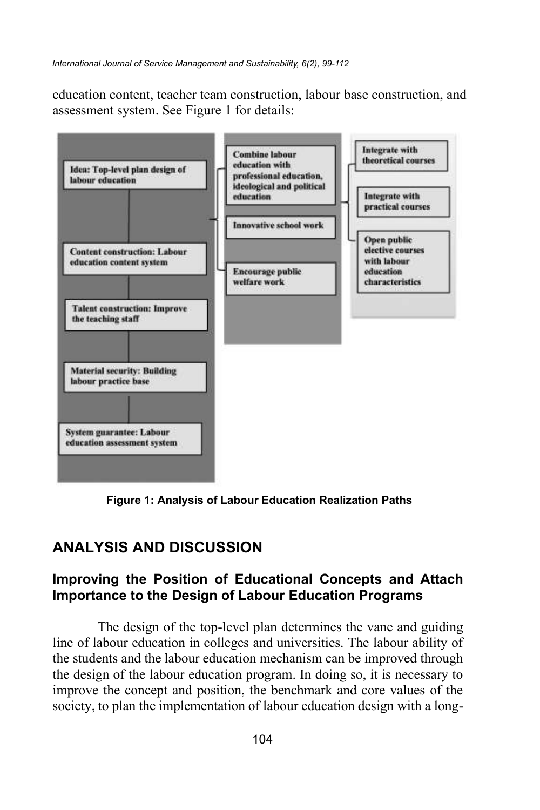education content, teacher team construction, labour base construction, and assessment system. See Figure 1 for details:



**Figure 1: Analysis of Labour Education Realization Paths**

### **ANALYSIS AND DISCUSSION**

#### **Improving the Position of Educational Concepts and Attach Importance to the Design of Labour Education Programs**

The design of the top-level plan determines the vane and guiding line of labour education in colleges and universities. The labour ability of the students and the labour education mechanism can be improved through the design of the labour education program. In doing so, it is necessary to improve the concept and position, the benchmark and core values of the society, to plan the implementation of labour education design with a long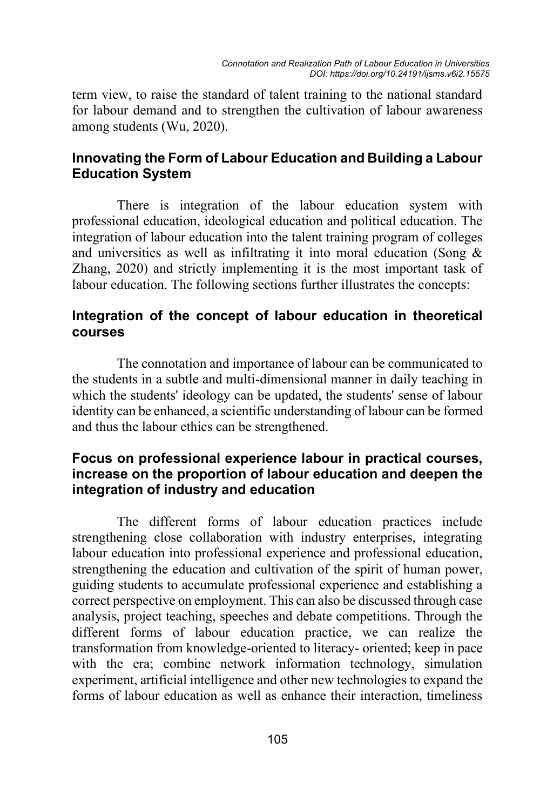term view, to raise the standard of talent training to the national standard for labour demand and to strengthen the cultivation of labour awareness among students (Wu, 2020).

#### **Innovating the Form of Labour Education and Building a Labour Education System**

There is integration of the labour education system with professional education, ideological education and political education. The integration of labour education into the talent training program of colleges and universities as well as infiltrating it into moral education (Song & Zhang, 2020) and strictly implementing it is the most important task of labour education. The following sections further illustrates the concepts:

#### **Integration of the concept of labour education in theoretical courses**

The connotation and importance of labour can be communicated to the students in a subtle and multi-dimensional manner in daily teaching in which the students' ideology can be updated, the students' sense of labour identity can be enhanced, a scientific understanding of labour can be formed and thus the labour ethics can be strengthened.

#### **Focus on professional experience labour in practical courses, increase on the proportion of labour education and deepen the integration of industry and education**

The different forms of labour education practices include strengthening close collaboration with industry enterprises, integrating labour education into professional experience and professional education, strengthening the education and cultivation of the spirit of human power, guiding students to accumulate professional experience and establishing a correct perspective on employment. This can also be discussed through case analysis, project teaching, speeches and debate competitions. Through the different forms of labour education practice, we can realize the transformation from knowledge-oriented to literacy- oriented; keep in pace with the era; combine network information technology, simulation experiment, artificial intelligence and other new technologies to expand the forms of labour education as well as enhance their interaction, timeliness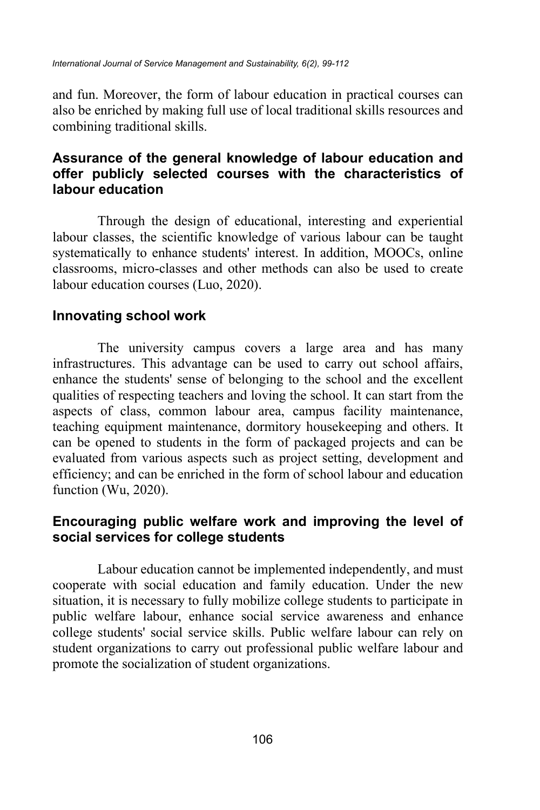and fun. Moreover, the form of labour education in practical courses can also be enriched by making full use of local traditional skills resources and combining traditional skills.

#### **Assurance of the general knowledge of labour education and offer publicly selected courses with the characteristics of labour education**

Through the design of educational, interesting and experiential labour classes, the scientific knowledge of various labour can be taught systematically to enhance students' interest. In addition, MOOCs, online classrooms, micro-classes and other methods can also be used to create labour education courses (Luo, 2020).

#### **Innovating school work**

The university campus covers a large area and has many infrastructures. This advantage can be used to carry out school affairs, enhance the students' sense of belonging to the school and the excellent qualities of respecting teachers and loving the school. It can start from the aspects of class, common labour area, campus facility maintenance, teaching equipment maintenance, dormitory housekeeping and others. It can be opened to students in the form of packaged projects and can be evaluated from various aspects such as project setting, development and efficiency; and can be enriched in the form of school labour and education function (Wu, 2020).

#### **Encouraging public welfare work and improving the level of social services for college students**

Labour education cannot be implemented independently, and must cooperate with social education and family education. Under the new situation, it is necessary to fully mobilize college students to participate in public welfare labour, enhance social service awareness and enhance college students' social service skills. Public welfare labour can rely on student organizations to carry out professional public welfare labour and promote the socialization of student organizations.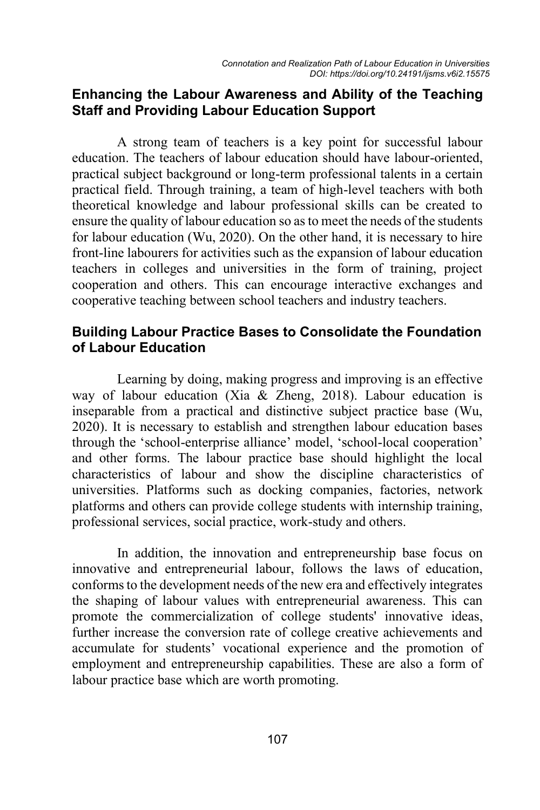#### **Enhancing the Labour Awareness and Ability of the Teaching Staff and Providing Labour Education Support**

A strong team of teachers is a key point for successful labour education. The teachers of labour education should have labour-oriented, practical subject background or long-term professional talents in a certain practical field. Through training, a team of high-level teachers with both theoretical knowledge and labour professional skills can be created to ensure the quality of labour education so as to meet the needs of the students for labour education (Wu, 2020). On the other hand, it is necessary to hire front-line labourers for activities such as the expansion of labour education teachers in colleges and universities in the form of training, project cooperation and others. This can encourage interactive exchanges and cooperative teaching between school teachers and industry teachers.

#### **Building Labour Practice Bases to Consolidate the Foundation of Labour Education**

Learning by doing, making progress and improving is an effective way of labour education (Xia & Zheng, 2018). Labour education is inseparable from a practical and distinctive subject practice base (Wu, 2020). It is necessary to establish and strengthen labour education bases through the 'school-enterprise alliance' model, 'school-local cooperation' and other forms. The labour practice base should highlight the local characteristics of labour and show the discipline characteristics of universities. Platforms such as docking companies, factories, network platforms and others can provide college students with internship training, professional services, social practice, work-study and others.

In addition, the innovation and entrepreneurship base focus on innovative and entrepreneurial labour, follows the laws of education, conforms to the development needs of the new era and effectively integrates the shaping of labour values with entrepreneurial awareness. This can promote the commercialization of college students' innovative ideas, further increase the conversion rate of college creative achievements and accumulate for students' vocational experience and the promotion of employment and entrepreneurship capabilities. These are also a form of labour practice base which are worth promoting.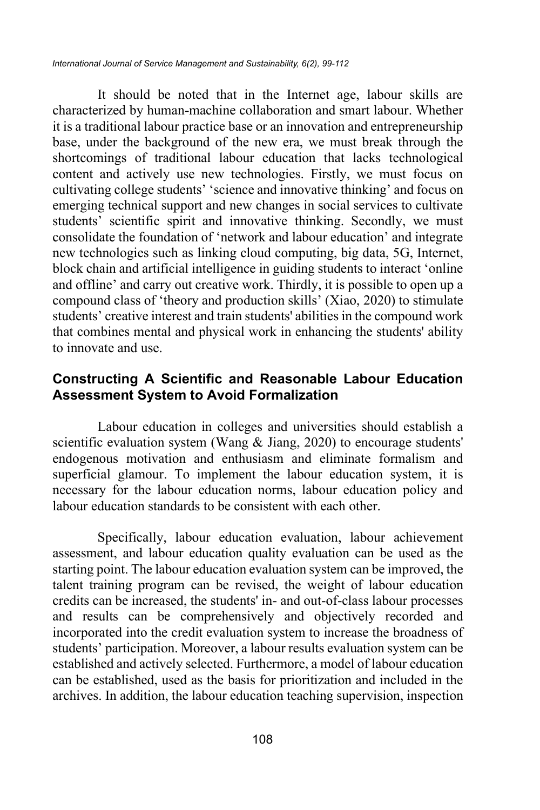*International Journal of Service Management and Sustainability, 6(2), 99-112*

It should be noted that in the Internet age, labour skills are characterized by human-machine collaboration and smart labour. Whether it is a traditional labour practice base or an innovation and entrepreneurship base, under the background of the new era, we must break through the shortcomings of traditional labour education that lacks technological content and actively use new technologies. Firstly, we must focus on cultivating college students' 'science and innovative thinking' and focus on emerging technical support and new changes in social services to cultivate students' scientific spirit and innovative thinking. Secondly, we must consolidate the foundation of 'network and labour education' and integrate new technologies such as linking cloud computing, big data, 5G, Internet, block chain and artificial intelligence in guiding students to interact 'online and offline' and carry out creative work. Thirdly, it is possible to open up a compound class of 'theory and production skills' (Xiao, 2020) to stimulate students' creative interest and train students' abilities in the compound work that combines mental and physical work in enhancing the students' ability to innovate and use.

#### **Constructing A Scientific and Reasonable Labour Education Assessment System to Avoid Formalization**

Labour education in colleges and universities should establish a scientific evaluation system (Wang & Jiang, 2020) to encourage students' endogenous motivation and enthusiasm and eliminate formalism and superficial glamour. To implement the labour education system, it is necessary for the labour education norms, labour education policy and labour education standards to be consistent with each other.

Specifically, labour education evaluation, labour achievement assessment, and labour education quality evaluation can be used as the starting point. The labour education evaluation system can be improved, the talent training program can be revised, the weight of labour education credits can be increased, the students' in- and out-of-class labour processes and results can be comprehensively and objectively recorded and incorporated into the credit evaluation system to increase the broadness of students' participation. Moreover, a labour results evaluation system can be established and actively selected. Furthermore, a model of labour education can be established, used as the basis for prioritization and included in the archives. In addition, the labour education teaching supervision, inspection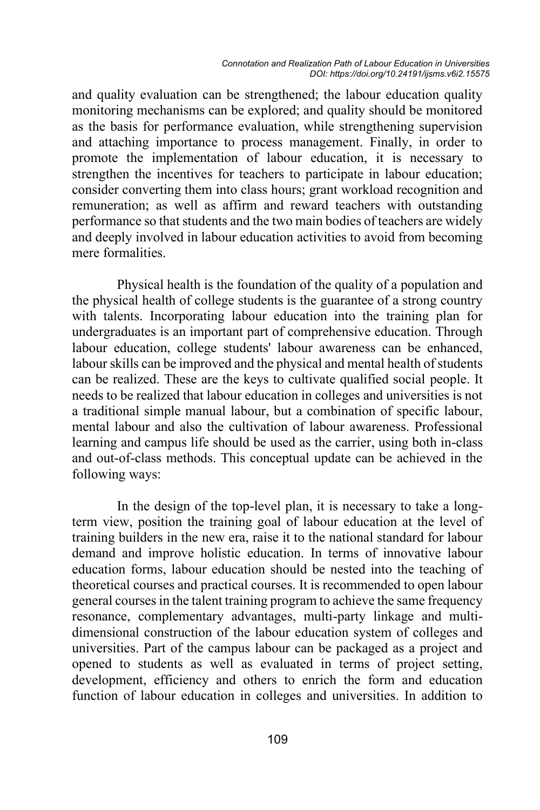and quality evaluation can be strengthened; the labour education quality monitoring mechanisms can be explored; and quality should be monitored as the basis for performance evaluation, while strengthening supervision and attaching importance to process management. Finally, in order to promote the implementation of labour education, it is necessary to strengthen the incentives for teachers to participate in labour education; consider converting them into class hours; grant workload recognition and remuneration; as well as affirm and reward teachers with outstanding performance so that students and the two main bodies of teachers are widely and deeply involved in labour education activities to avoid from becoming mere formalities.

Physical health is the foundation of the quality of a population and the physical health of college students is the guarantee of a strong country with talents. Incorporating labour education into the training plan for undergraduates is an important part of comprehensive education. Through labour education, college students' labour awareness can be enhanced, labour skills can be improved and the physical and mental health of students can be realized. These are the keys to cultivate qualified social people. It needs to be realized that labour education in colleges and universities is not a traditional simple manual labour, but a combination of specific labour, mental labour and also the cultivation of labour awareness. Professional learning and campus life should be used as the carrier, using both in-class and out-of-class methods. This conceptual update can be achieved in the following ways:

In the design of the top-level plan, it is necessary to take a longterm view, position the training goal of labour education at the level of training builders in the new era, raise it to the national standard for labour demand and improve holistic education. In terms of innovative labour education forms, labour education should be nested into the teaching of theoretical courses and practical courses. It is recommended to open labour general courses in the talent training program to achieve the same frequency resonance, complementary advantages, multi-party linkage and multidimensional construction of the labour education system of colleges and universities. Part of the campus labour can be packaged as a project and opened to students as well as evaluated in terms of project setting, development, efficiency and others to enrich the form and education function of labour education in colleges and universities. In addition to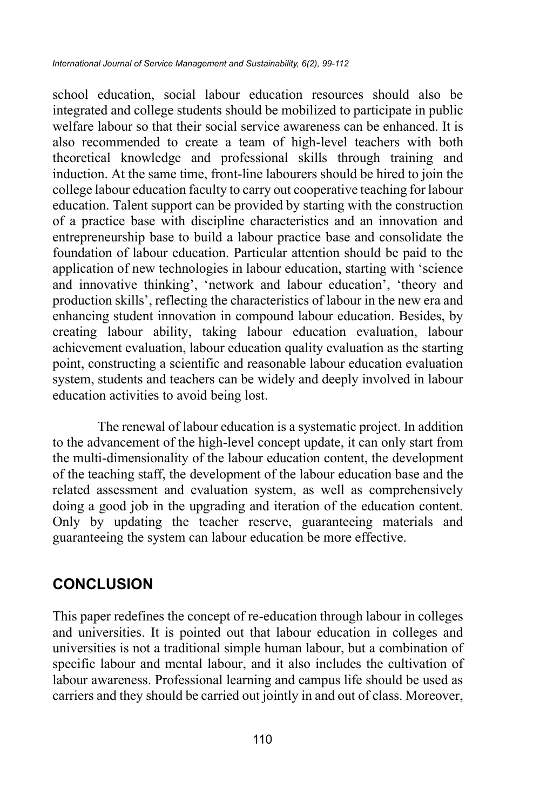school education, social labour education resources should also be integrated and college students should be mobilized to participate in public welfare labour so that their social service awareness can be enhanced. It is also recommended to create a team of high-level teachers with both theoretical knowledge and professional skills through training and induction. At the same time, front-line labourers should be hired to join the college labour education faculty to carry out cooperative teaching for labour education. Talent support can be provided by starting with the construction of a practice base with discipline characteristics and an innovation and entrepreneurship base to build a labour practice base and consolidate the foundation of labour education. Particular attention should be paid to the application of new technologies in labour education, starting with 'science and innovative thinking', 'network and labour education', 'theory and production skills', reflecting the characteristics of labour in the new era and enhancing student innovation in compound labour education. Besides, by creating labour ability, taking labour education evaluation, labour achievement evaluation, labour education quality evaluation as the starting point, constructing a scientific and reasonable labour education evaluation system, students and teachers can be widely and deeply involved in labour education activities to avoid being lost.

The renewal of labour education is a systematic project. In addition to the advancement of the high-level concept update, it can only start from the multi-dimensionality of the labour education content, the development of the teaching staff, the development of the labour education base and the related assessment and evaluation system, as well as comprehensively doing a good job in the upgrading and iteration of the education content. Only by updating the teacher reserve, guaranteeing materials and guaranteeing the system can labour education be more effective.

### **CONCLUSION**

This paper redefines the concept of re-education through labour in colleges and universities. It is pointed out that labour education in colleges and universities is not a traditional simple human labour, but a combination of specific labour and mental labour, and it also includes the cultivation of labour awareness. Professional learning and campus life should be used as carriers and they should be carried out jointly in and out of class. Moreover,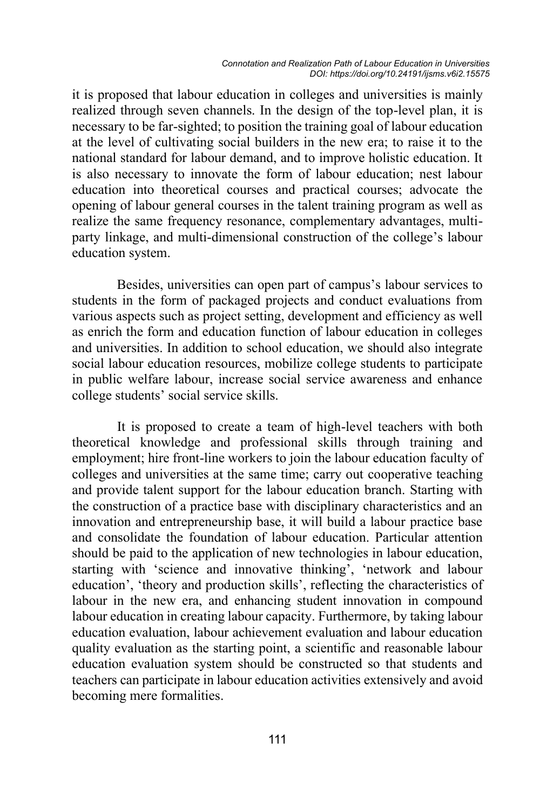it is proposed that labour education in colleges and universities is mainly realized through seven channels. In the design of the top-level plan, it is necessary to be far-sighted; to position the training goal of labour education at the level of cultivating social builders in the new era; to raise it to the national standard for labour demand, and to improve holistic education. It is also necessary to innovate the form of labour education; nest labour education into theoretical courses and practical courses; advocate the opening of labour general courses in the talent training program as well as realize the same frequency resonance, complementary advantages, multiparty linkage, and multi-dimensional construction of the college's labour education system.

Besides, universities can open part of campus's labour services to students in the form of packaged projects and conduct evaluations from various aspects such as project setting, development and efficiency as well as enrich the form and education function of labour education in colleges and universities. In addition to school education, we should also integrate social labour education resources, mobilize college students to participate in public welfare labour, increase social service awareness and enhance college students' social service skills.

It is proposed to create a team of high-level teachers with both theoretical knowledge and professional skills through training and employment; hire front-line workers to join the labour education faculty of colleges and universities at the same time; carry out cooperative teaching and provide talent support for the labour education branch. Starting with the construction of a practice base with disciplinary characteristics and an innovation and entrepreneurship base, it will build a labour practice base and consolidate the foundation of labour education. Particular attention should be paid to the application of new technologies in labour education, starting with 'science and innovative thinking', 'network and labour education', 'theory and production skills', reflecting the characteristics of labour in the new era, and enhancing student innovation in compound labour education in creating labour capacity. Furthermore, by taking labour education evaluation, labour achievement evaluation and labour education quality evaluation as the starting point, a scientific and reasonable labour education evaluation system should be constructed so that students and teachers can participate in labour education activities extensively and avoid becoming mere formalities.